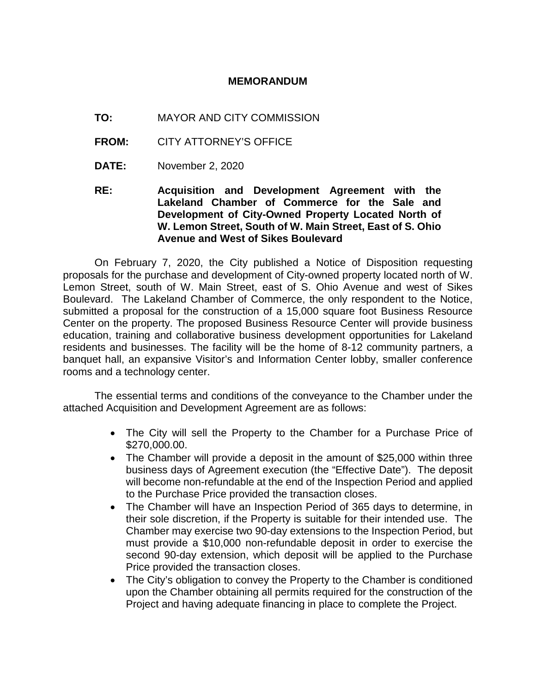## **MEMORANDUM**

- **TO:** MAYOR AND CITY COMMISSION
- **FROM:** CITY ATTORNEY'S OFFICE
- **DATE:** November 2, 2020

**RE: Acquisition and Development Agreement with the Lakeland Chamber of Commerce for the Sale and Development of City-Owned Property Located North of W. Lemon Street, South of W. Main Street, East of S. Ohio Avenue and West of Sikes Boulevard**

On February 7, 2020, the City published a Notice of Disposition requesting proposals for the purchase and development of City-owned property located north of W. Lemon Street, south of W. Main Street, east of S. Ohio Avenue and west of Sikes Boulevard. The Lakeland Chamber of Commerce, the only respondent to the Notice, submitted a proposal for the construction of a 15,000 square foot Business Resource Center on the property. The proposed Business Resource Center will provide business education, training and collaborative business development opportunities for Lakeland residents and businesses. The facility will be the home of 8-12 community partners, a banquet hall, an expansive Visitor's and Information Center lobby, smaller conference rooms and a technology center.

The essential terms and conditions of the conveyance to the Chamber under the attached Acquisition and Development Agreement are as follows:

- The City will sell the Property to the Chamber for a Purchase Price of \$270,000.00.
- The Chamber will provide a deposit in the amount of \$25,000 within three business days of Agreement execution (the "Effective Date"). The deposit will become non-refundable at the end of the Inspection Period and applied to the Purchase Price provided the transaction closes.
- The Chamber will have an Inspection Period of 365 days to determine, in their sole discretion, if the Property is suitable for their intended use. The Chamber may exercise two 90-day extensions to the Inspection Period, but must provide a \$10,000 non-refundable deposit in order to exercise the second 90-day extension, which deposit will be applied to the Purchase Price provided the transaction closes.
- The City's obligation to convey the Property to the Chamber is conditioned upon the Chamber obtaining all permits required for the construction of the Project and having adequate financing in place to complete the Project.